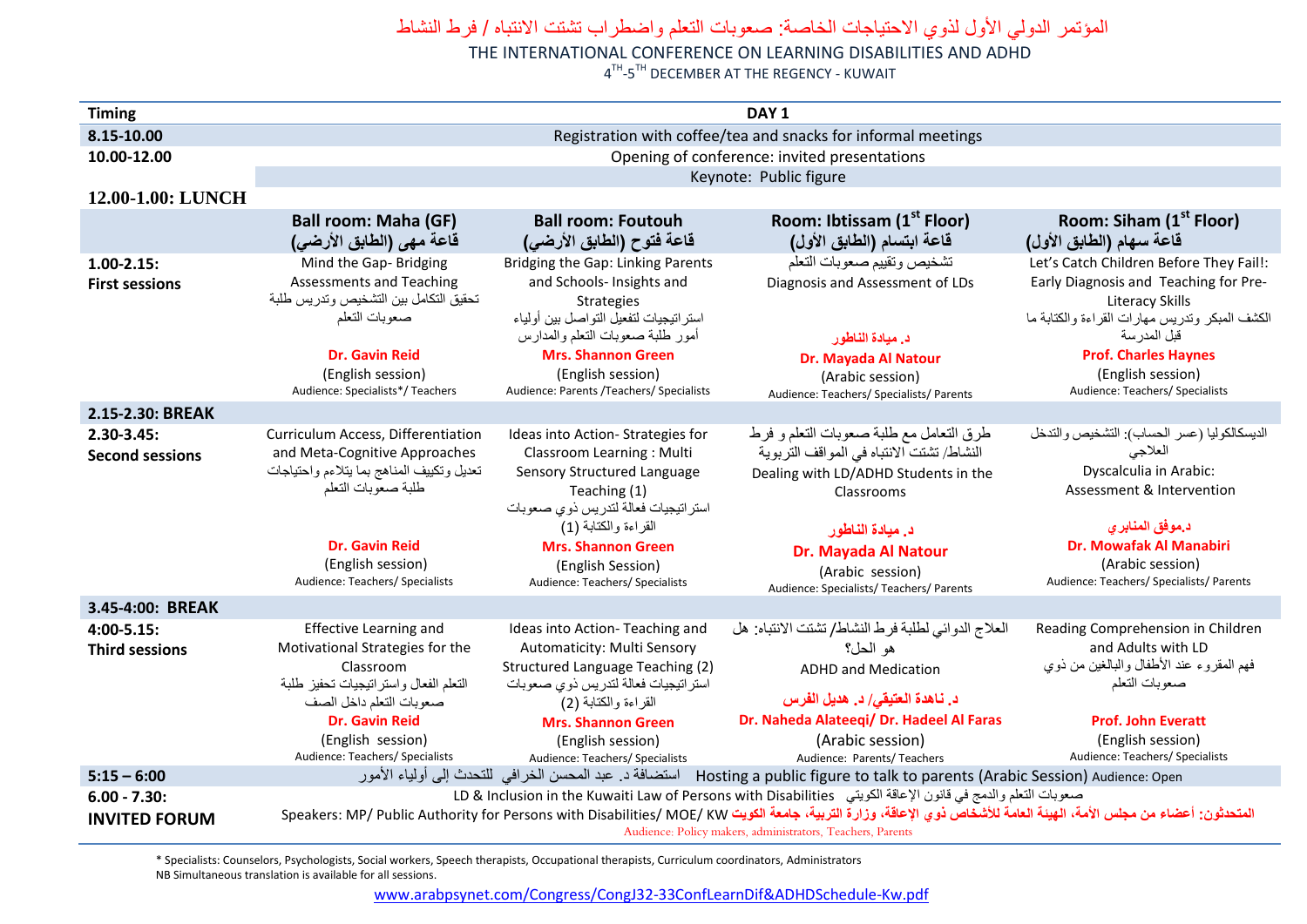## المؤتمر الدولي الأول لذوي الاحتياجات الخاصة: صعوبات التعلم واضطراب تشتت الانتباه / فرط النشاط

THE INTERNATIONAL CONFERENCE ON LEARNING DISABILITIES AND ADHD

4<sup>TH</sup>-5<sup>TH</sup> DECEMBER AT THE REGENCY - KUWAIT

| <b>Timing</b>          | DAY <sub>1</sub>                                                                                                                                                                                                                                                                                                                                     |                                                                         |                                                    |                                                                          |  |  |  |
|------------------------|------------------------------------------------------------------------------------------------------------------------------------------------------------------------------------------------------------------------------------------------------------------------------------------------------------------------------------------------------|-------------------------------------------------------------------------|----------------------------------------------------|--------------------------------------------------------------------------|--|--|--|
| 8.15-10.00             | Registration with coffee/tea and snacks for informal meetings                                                                                                                                                                                                                                                                                        |                                                                         |                                                    |                                                                          |  |  |  |
| 10.00-12.00            | Opening of conference: invited presentations                                                                                                                                                                                                                                                                                                         |                                                                         |                                                    |                                                                          |  |  |  |
|                        | Keynote: Public figure                                                                                                                                                                                                                                                                                                                               |                                                                         |                                                    |                                                                          |  |  |  |
| 12.00-1.00: LUNCH      |                                                                                                                                                                                                                                                                                                                                                      |                                                                         |                                                    |                                                                          |  |  |  |
|                        | <b>Ball room: Maha (GF)</b>                                                                                                                                                                                                                                                                                                                          | <b>Ball room: Foutouh</b>                                               | Room: Ibtissam (1 <sup>st</sup> Floor)             | Room: Siham (1 <sup>st</sup> Floor)                                      |  |  |  |
|                        | قاعة مهي (الطابق الأرضى)                                                                                                                                                                                                                                                                                                                             | قاعة فتوح (الطابق الأرضى)                                               | قاعة ابتسام (الطابق الأول)                         | قاعة سهام (الطابق الأول)                                                 |  |  |  |
| $1.00 - 2.15$          | Mind the Gap-Bridging                                                                                                                                                                                                                                                                                                                                | Bridging the Gap: Linking Parents                                       | تشخيص وتقييم صعوبات التعلم                         | Let's Catch Children Before They Fail!:                                  |  |  |  |
| <b>First sessions</b>  | Assessments and Teaching                                                                                                                                                                                                                                                                                                                             | and Schools- Insights and                                               | Diagnosis and Assessment of LDs                    | Early Diagnosis and Teaching for Pre-                                    |  |  |  |
|                        | تحقيق التكامل بين التشخيص وتدريس طلبة<br>صعوبات التعلم                                                                                                                                                                                                                                                                                               | <b>Strategies</b><br>استر اتيجيات لتفعيل التو اصل بين أولياء            |                                                    | <b>Literacy Skills</b><br>الكشف المبكر وتدريس مهارات القراءة والكتابة ما |  |  |  |
|                        |                                                                                                                                                                                                                                                                                                                                                      | أمور طلبة صعوبات النعلم والمدارس                                        | د. ميادة الناطور                                   | قبل المدرسة                                                              |  |  |  |
|                        | <b>Dr. Gavin Reid</b>                                                                                                                                                                                                                                                                                                                                | <b>Mrs. Shannon Green</b>                                               | Dr. Mayada Al Natour                               | <b>Prof. Charles Haynes</b>                                              |  |  |  |
|                        | (English session)                                                                                                                                                                                                                                                                                                                                    | (English session)                                                       | (Arabic session)                                   | (English session)                                                        |  |  |  |
|                        | Audience: Specialists*/ Teachers                                                                                                                                                                                                                                                                                                                     | Audience: Parents /Teachers/ Specialists                                | Audience: Teachers/ Specialists/ Parents           | Audience: Teachers/ Specialists                                          |  |  |  |
| 2.15-2.30: BREAK       |                                                                                                                                                                                                                                                                                                                                                      |                                                                         |                                                    |                                                                          |  |  |  |
| $2.30 - 3.45:$         | Curriculum Access, Differentiation                                                                                                                                                                                                                                                                                                                   | Ideas into Action-Strategies for                                        | طرق التعامل مع طلبة صعوبات التعلم و فرط            | الديسكالكوليا (عسر الحساب): التشخيص والتدخل                              |  |  |  |
| <b>Second sessions</b> | and Meta-Cognitive Approaches                                                                                                                                                                                                                                                                                                                        | Classroom Learning: Multi                                               | النشاط/ تشتت الانتباه في المواقف التربوية          | العلاجى                                                                  |  |  |  |
|                        | تعديل وتكييف المناهج بما يتلاءم واحتياجات<br>طلبة صعوبات التعلم                                                                                                                                                                                                                                                                                      | Sensory Structured Language<br>Teaching (1)                             | Dealing with LD/ADHD Students in the               | Dyscalculia in Arabic:<br>Assessment & Intervention                      |  |  |  |
|                        |                                                                                                                                                                                                                                                                                                                                                      | استراتيجيات فعالة لتدريس ذوي صعوبات                                     | Classrooms                                         |                                                                          |  |  |  |
|                        |                                                                                                                                                                                                                                                                                                                                                      | القراءة والكتابة (1)                                                    | د. ميادة الناطور                                   | د.موفق المنابر ي                                                         |  |  |  |
|                        | <b>Dr. Gavin Reid</b>                                                                                                                                                                                                                                                                                                                                | <b>Mrs. Shannon Green</b>                                               | Dr. Mayada Al Natour                               | Dr. Mowafak Al Manabiri                                                  |  |  |  |
|                        | (English session)                                                                                                                                                                                                                                                                                                                                    | (English Session)                                                       | (Arabic session)                                   | (Arabic session)                                                         |  |  |  |
|                        | Audience: Teachers/ Specialists                                                                                                                                                                                                                                                                                                                      | Audience: Teachers/ Specialists                                         | Audience: Specialists/ Teachers/ Parents           | Audience: Teachers/ Specialists/ Parents                                 |  |  |  |
| 3.45-4:00: BREAK       |                                                                                                                                                                                                                                                                                                                                                      |                                                                         |                                                    |                                                                          |  |  |  |
| $4:00 - 5.15:$         | <b>Effective Learning and</b>                                                                                                                                                                                                                                                                                                                        | Ideas into Action-Teaching and                                          | العلاج الدوائي لطلبة فرط النشاط/ تشتت الانتباه: هل | Reading Comprehension in Children                                        |  |  |  |
| <b>Third sessions</b>  | Motivational Strategies for the                                                                                                                                                                                                                                                                                                                      | Automaticity: Multi Sensory                                             | هو الحل؟                                           | and Adults with LD<br>فهم المقروء عند الأطفال والبالغين من ذوي           |  |  |  |
|                        | Classroom<br>التعلم الفعال واستراتيجيات تحفيز طلبة                                                                                                                                                                                                                                                                                                   | Structured Language Teaching (2)<br>استراتيجيات فعالة لتدريس ذوي صعوبات | <b>ADHD and Medication</b>                         | صعوبات التعلم                                                            |  |  |  |
|                        | صعوبات التعلم داخل الصف                                                                                                                                                                                                                                                                                                                              | القراءة والكتابة (2)                                                    | د. ناهدة العتيقي/ د. هديل الفرس                    |                                                                          |  |  |  |
|                        | <b>Dr. Gavin Reid</b>                                                                                                                                                                                                                                                                                                                                | <b>Mrs. Shannon Green</b>                                               | Dr. Naheda Alateeqi/ Dr. Hadeel Al Faras           | <b>Prof. John Everatt</b>                                                |  |  |  |
|                        | (English session)                                                                                                                                                                                                                                                                                                                                    | (English session)                                                       | (Arabic session)                                   | (English session)                                                        |  |  |  |
|                        | Audience: Teachers/ Specialists                                                                                                                                                                                                                                                                                                                      | Audience: Teachers/ Specialists                                         | Audience: Parents/ Teachers                        | Audience: Teachers/ Specialists                                          |  |  |  |
| $5:15 - 6:00$          | استضافة د. عبد المحسن الخرافي للتحدث إلى أولياء الأمور<br>Hosting a public figure to talk to parents (Arabic Session) Audience: Open                                                                                                                                                                                                                 |                                                                         |                                                    |                                                                          |  |  |  |
| $6.00 - 7.30:$         | صعوبات النعلم والدمج في قانون الإعاقة الكويتي   LD & Inclusion in the Kuwaiti Law of Persons with Disabilities<br>المتحدثون: أعضاء من مجلس الأمة، الهيئة العامة للأشخاص ذوي الإعاقة، وزارة التربية، جامعة الكويت Speakers: MP/ Public Authority for Persons with Disabilities/ MOE/ KW<br>Audience: Policy makers, administrators, Teachers, Parents |                                                                         |                                                    |                                                                          |  |  |  |
| <b>INVITED FORUM</b>   |                                                                                                                                                                                                                                                                                                                                                      |                                                                         |                                                    |                                                                          |  |  |  |
|                        |                                                                                                                                                                                                                                                                                                                                                      |                                                                         |                                                    |                                                                          |  |  |  |

\* Specialists: Counselors, Psychologists, Social workers, Speech therapists, Occupational therapists, Curriculum coordinators, Administrators NB Simultaneous translation is available for all sessions.

[www.arabpsynet.com/Congress/CongJ32-33ConfLearnDif&ADHDSchedule-Kw.pdf](www.arabpsynet.com/Congress/CongJ32-33ConfLearnDif&ADHDSchedule-Kw.pdf )